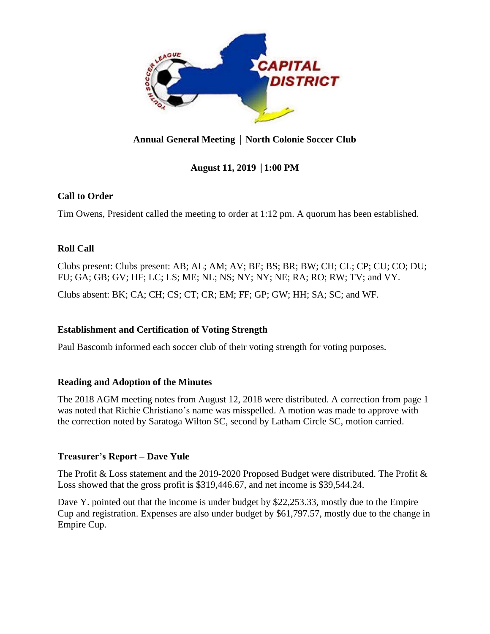

# **Annual General Meeting** │ **North Colonie Soccer Club**

## **August 11, 2019** │**1:00 PM**

### **Call to Order**

Tim Owens, President called the meeting to order at 1:12 pm. A quorum has been established.

### **Roll Call**

Clubs present: Clubs present: AB; AL; AM; AV; BE; BS; BR; BW; CH; CL; CP; CU; CO; DU; FU; GA; GB; GV; HF; LC; LS; ME; NL; NS; NY; NY; NE; RA; RO; RW; TV; and VY.

Clubs absent: BK; CA; CH; CS; CT; CR; EM; FF; GP; GW; HH; SA; SC; and WF.

### **Establishment and Certification of Voting Strength**

Paul Bascomb informed each soccer club of their voting strength for voting purposes.

### **Reading and Adoption of the Minutes**

The 2018 AGM meeting notes from August 12, 2018 were distributed. A correction from page 1 was noted that Richie Christiano's name was misspelled. A motion was made to approve with the correction noted by Saratoga Wilton SC, second by Latham Circle SC, motion carried.

### **Treasurer's Report – Dave Yule**

The Profit & Loss statement and the 2019-2020 Proposed Budget were distributed. The Profit & Loss showed that the gross profit is \$319,446.67, and net income is \$39,544.24.

Dave Y. pointed out that the income is under budget by \$22,253.33, mostly due to the Empire Cup and registration. Expenses are also under budget by \$61,797.57, mostly due to the change in Empire Cup.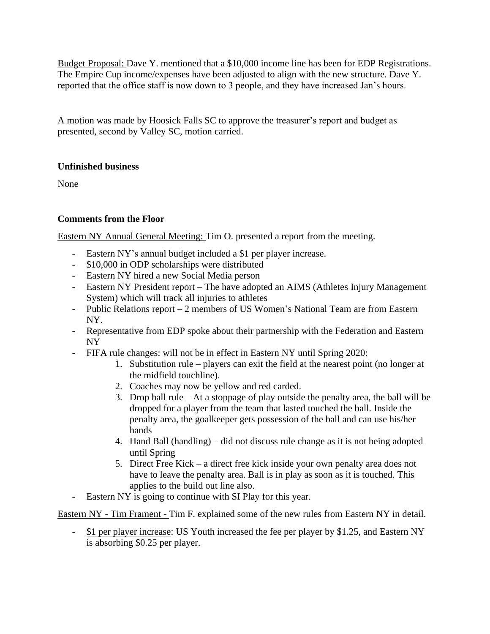Budget Proposal: Dave Y. mentioned that a \$10,000 income line has been for EDP Registrations. The Empire Cup income/expenses have been adjusted to align with the new structure. Dave Y. reported that the office staff is now down to 3 people, and they have increased Jan's hours.

A motion was made by Hoosick Falls SC to approve the treasurer's report and budget as presented, second by Valley SC, motion carried.

### **Unfinished business**

None

## **Comments from the Floor**

Eastern NY Annual General Meeting: Tim O. presented a report from the meeting.

- Eastern NY's annual budget included a \$1 per player increase.
- \$10,000 in ODP scholarships were distributed
- Eastern NY hired a new Social Media person
- Eastern NY President report The have adopted an AIMS (Athletes Injury Management System) which will track all injuries to athletes
- Public Relations report 2 members of US Women's National Team are from Eastern NY.
- Representative from EDP spoke about their partnership with the Federation and Eastern NY
- FIFA rule changes: will not be in effect in Eastern NY until Spring 2020:
	- 1. Substitution rule players can exit the field at the nearest point (no longer at the midfield touchline).
	- 2. Coaches may now be yellow and red carded.
	- 3. Drop ball rule At a stoppage of play outside the penalty area, the ball will be dropped for a player from the team that lasted touched the ball. Inside the penalty area, the goalkeeper gets possession of the ball and can use his/her hands
	- 4. Hand Ball (handling) did not discuss rule change as it is not being adopted until Spring
	- 5. Direct Free Kick a direct free kick inside your own penalty area does not have to leave the penalty area. Ball is in play as soon as it is touched. This applies to the build out line also.
- Eastern NY is going to continue with SI Play for this year.

Eastern NY - Tim Frament - Tim F. explained some of the new rules from Eastern NY in detail.

\$1 per player increase: US Youth increased the fee per player by \$1.25, and Eastern NY is absorbing \$0.25 per player.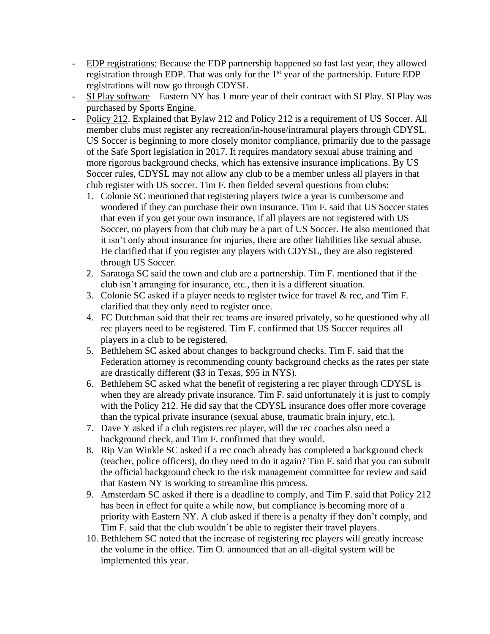- EDP registrations: Because the EDP partnership happened so fast last year, they allowed registration through EDP. That was only for the 1<sup>st</sup> year of the partnership. Future EDP registrations will now go through CDYSL
- SI Play software Eastern NY has 1 more year of their contract with SI Play. SI Play was purchased by Sports Engine.
- Policy 212. Explained that Bylaw 212 and Policy 212 is a requirement of US Soccer. All member clubs must register any recreation/in-house/intramural players through CDYSL. US Soccer is beginning to more closely monitor compliance, primarily due to the passage of the Safe Sport legislation in 2017. It requires mandatory sexual abuse training and more rigorous background checks, which has extensive insurance implications. By US Soccer rules, CDYSL may not allow any club to be a member unless all players in that club register with US soccer. Tim F. then fielded several questions from clubs:
	- 1. Colonie SC mentioned that registering players twice a year is cumbersome and wondered if they can purchase their own insurance. Tim F. said that US Soccer states that even if you get your own insurance, if all players are not registered with US Soccer, no players from that club may be a part of US Soccer. He also mentioned that it isn't only about insurance for injuries, there are other liabilities like sexual abuse. He clarified that if you register any players with CDYSL, they are also registered through US Soccer.
	- 2. Saratoga SC said the town and club are a partnership. Tim F. mentioned that if the club isn't arranging for insurance, etc., then it is a different situation.
	- 3. Colonie SC asked if a player needs to register twice for travel & rec, and Tim F. clarified that they only need to register once.
	- 4. FC Dutchman said that their rec teams are insured privately, so he questioned why all rec players need to be registered. Tim F. confirmed that US Soccer requires all players in a club to be registered.
	- 5. Bethlehem SC asked about changes to background checks. Tim F. said that the Federation attorney is recommending county background checks as the rates per state are drastically different (\$3 in Texas, \$95 in NYS).
	- 6. Bethlehem SC asked what the benefit of registering a rec player through CDYSL is when they are already private insurance. Tim F. said unfortunately it is just to comply with the Policy 212. He did say that the CDYSL insurance does offer more coverage than the typical private insurance (sexual abuse, traumatic brain injury, etc.).
	- 7. Dave Y asked if a club registers rec player, will the rec coaches also need a background check, and Tim F. confirmed that they would.
	- 8. Rip Van Winkle SC asked if a rec coach already has completed a background check (teacher, police officers), do they need to do it again? Tim F. said that you can submit the official background check to the risk management committee for review and said that Eastern NY is working to streamline this process.
	- 9. Amsterdam SC asked if there is a deadline to comply, and Tim F. said that Policy 212 has been in effect for quite a while now, but compliance is becoming more of a priority with Eastern NY. A club asked if there is a penalty if they don't comply, and Tim F. said that the club wouldn't be able to register their travel players.
	- 10. Bethlehem SC noted that the increase of registering rec players will greatly increase the volume in the office. Tim O. announced that an all-digital system will be implemented this year.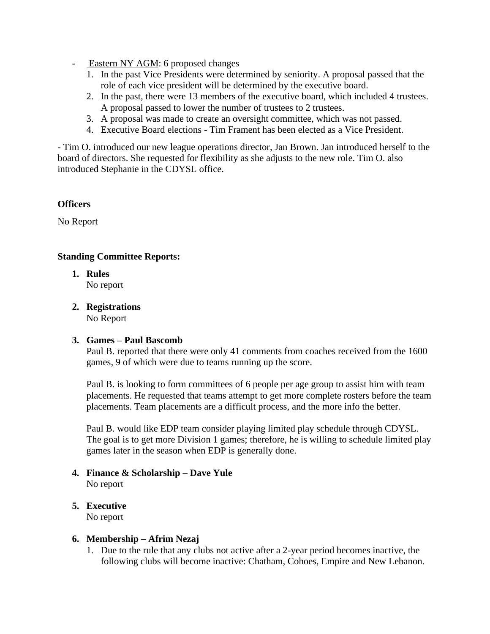- Eastern NY AGM: 6 proposed changes
	- 1. In the past Vice Presidents were determined by seniority. A proposal passed that the role of each vice president will be determined by the executive board.
	- 2. In the past, there were 13 members of the executive board, which included 4 trustees. A proposal passed to lower the number of trustees to 2 trustees.
	- 3. A proposal was made to create an oversight committee, which was not passed.
	- 4. Executive Board elections Tim Frament has been elected as a Vice President.

- Tim O. introduced our new league operations director, Jan Brown. Jan introduced herself to the board of directors. She requested for flexibility as she adjusts to the new role. Tim O. also introduced Stephanie in the CDYSL office.

#### **Officers**

No Report

#### **Standing Committee Reports:**

- **1. Rules**  No report
- **2. Registrations** No Report

#### **3. Games – Paul Bascomb**

Paul B. reported that there were only 41 comments from coaches received from the 1600 games, 9 of which were due to teams running up the score.

Paul B. is looking to form committees of 6 people per age group to assist him with team placements. He requested that teams attempt to get more complete rosters before the team placements. Team placements are a difficult process, and the more info the better.

Paul B. would like EDP team consider playing limited play schedule through CDYSL. The goal is to get more Division 1 games; therefore, he is willing to schedule limited play games later in the season when EDP is generally done.

- **4. Finance & Scholarship – Dave Yule** No report
- **5. Executive**

No report

#### **6. Membership – Afrim Nezaj**

1. Due to the rule that any clubs not active after a 2-year period becomes inactive, the following clubs will become inactive: Chatham, Cohoes, Empire and New Lebanon.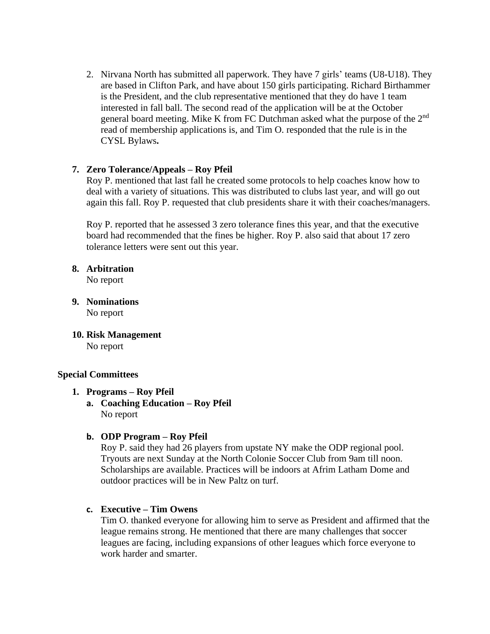2. Nirvana North has submitted all paperwork. They have 7 girls' teams (U8-U18). They are based in Clifton Park, and have about 150 girls participating. Richard Birthammer is the President, and the club representative mentioned that they do have 1 team interested in fall ball. The second read of the application will be at the October general board meeting. Mike K from FC Dutchman asked what the purpose of the 2<sup>nd</sup> read of membership applications is, and Tim O. responded that the rule is in the CYSL Bylaws**.** 

#### **7. Zero Tolerance/Appeals – Roy Pfeil**

Roy P. mentioned that last fall he created some protocols to help coaches know how to deal with a variety of situations. This was distributed to clubs last year, and will go out again this fall. Roy P. requested that club presidents share it with their coaches/managers.

Roy P. reported that he assessed 3 zero tolerance fines this year, and that the executive board had recommended that the fines be higher. Roy P. also said that about 17 zero tolerance letters were sent out this year.

**8. Arbitration**  No report

- **9. Nominations** No report
- **10. Risk Management** No report

#### **Special Committees**

- **1. Programs – Roy Pfeil**
	- **a. Coaching Education – Roy Pfeil** No report

#### **b. ODP Program – Roy Pfeil**

Roy P. said they had 26 players from upstate NY make the ODP regional pool. Tryouts are next Sunday at the North Colonie Soccer Club from 9am till noon. Scholarships are available. Practices will be indoors at Afrim Latham Dome and outdoor practices will be in New Paltz on turf.

#### **c. Executive – Tim Owens**

Tim O. thanked everyone for allowing him to serve as President and affirmed that the league remains strong. He mentioned that there are many challenges that soccer leagues are facing, including expansions of other leagues which force everyone to work harder and smarter.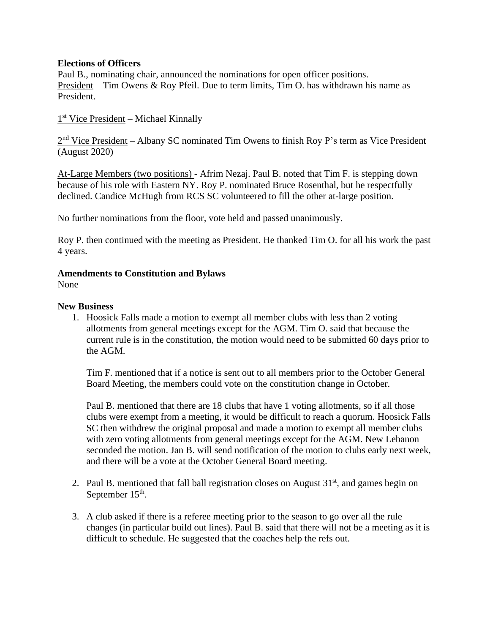#### **Elections of Officers**

Paul B., nominating chair, announced the nominations for open officer positions. President – Tim Owens & Roy Pfeil. Due to term limits, Tim O. has withdrawn his name as President.

1<sup>st</sup> Vice President - Michael Kinnally

2<sup>nd</sup> Vice President – Albany SC nominated Tim Owens to finish Roy P's term as Vice President (August 2020)

At-Large Members (two positions) - Afrim Nezaj. Paul B. noted that Tim F. is stepping down because of his role with Eastern NY. Roy P. nominated Bruce Rosenthal, but he respectfully declined. Candice McHugh from RCS SC volunteered to fill the other at-large position.

No further nominations from the floor, vote held and passed unanimously.

Roy P. then continued with the meeting as President. He thanked Tim O. for all his work the past 4 years.

#### **Amendments to Constitution and Bylaws**

None

#### **New Business**

1. Hoosick Falls made a motion to exempt all member clubs with less than 2 voting allotments from general meetings except for the AGM. Tim O. said that because the current rule is in the constitution, the motion would need to be submitted 60 days prior to the AGM.

Tim F. mentioned that if a notice is sent out to all members prior to the October General Board Meeting, the members could vote on the constitution change in October.

Paul B. mentioned that there are 18 clubs that have 1 voting allotments, so if all those clubs were exempt from a meeting, it would be difficult to reach a quorum. Hoosick Falls SC then withdrew the original proposal and made a motion to exempt all member clubs with zero voting allotments from general meetings except for the AGM. New Lebanon seconded the motion. Jan B. will send notification of the motion to clubs early next week, and there will be a vote at the October General Board meeting.

- 2. Paul B. mentioned that fall ball registration closes on August  $31<sup>st</sup>$ , and games begin on September  $15<sup>th</sup>$ .
- 3. A club asked if there is a referee meeting prior to the season to go over all the rule changes (in particular build out lines). Paul B. said that there will not be a meeting as it is difficult to schedule. He suggested that the coaches help the refs out.